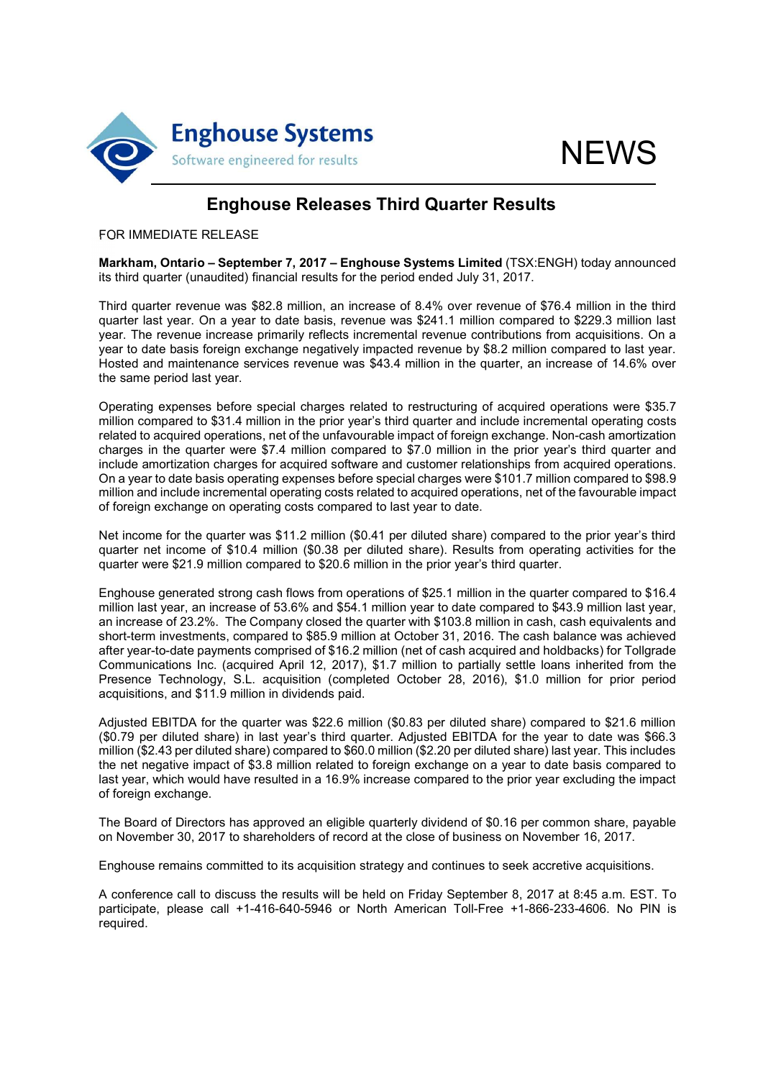



# Enghouse Releases Third Quarter Results

#### FOR IMMEDIATE RELEASE

Markham, Ontario – September 7, 2017 – Enghouse Systems Limited (TSX:ENGH) today announced its third quarter (unaudited) financial results for the period ended July 31, 2017.

Third quarter revenue was \$82.8 million, an increase of 8.4% over revenue of \$76.4 million in the third quarter last year. On a year to date basis, revenue was \$241.1 million compared to \$229.3 million last year. The revenue increase primarily reflects incremental revenue contributions from acquisitions. On a year to date basis foreign exchange negatively impacted revenue by \$8.2 million compared to last year. Hosted and maintenance services revenue was \$43.4 million in the quarter, an increase of 14.6% over the same period last year.

Operating expenses before special charges related to restructuring of acquired operations were \$35.7 million compared to \$31.4 million in the prior year's third quarter and include incremental operating costs related to acquired operations, net of the unfavourable impact of foreign exchange. Non-cash amortization charges in the quarter were \$7.4 million compared to \$7.0 million in the prior year's third quarter and include amortization charges for acquired software and customer relationships from acquired operations. On a year to date basis operating expenses before special charges were \$101.7 million compared to \$98.9 million and include incremental operating costs related to acquired operations, net of the favourable impact of foreign exchange on operating costs compared to last year to date.

Net income for the quarter was \$11.2 million (\$0.41 per diluted share) compared to the prior year's third quarter net income of \$10.4 million (\$0.38 per diluted share). Results from operating activities for the quarter were \$21.9 million compared to \$20.6 million in the prior year's third quarter.

Enghouse generated strong cash flows from operations of \$25.1 million in the quarter compared to \$16.4 million last year, an increase of 53.6% and \$54.1 million year to date compared to \$43.9 million last year, an increase of 23.2%. The Company closed the quarter with \$103.8 million in cash, cash equivalents and short-term investments, compared to \$85.9 million at October 31, 2016. The cash balance was achieved after year-to-date payments comprised of \$16.2 million (net of cash acquired and holdbacks) for Tollgrade Communications Inc. (acquired April 12, 2017), \$1.7 million to partially settle loans inherited from the Presence Technology, S.L. acquisition (completed October 28, 2016), \$1.0 million for prior period acquisitions, and \$11.9 million in dividends paid.

Adjusted EBITDA for the quarter was \$22.6 million (\$0.83 per diluted share) compared to \$21.6 million (\$0.79 per diluted share) in last year's third quarter. Adjusted EBITDA for the year to date was \$66.3 million (\$2.43 per diluted share) compared to \$60.0 million (\$2.20 per diluted share) last year. This includes the net negative impact of \$3.8 million related to foreign exchange on a year to date basis compared to last year, which would have resulted in a 16.9% increase compared to the prior year excluding the impact of foreign exchange.

The Board of Directors has approved an eligible quarterly dividend of \$0.16 per common share, payable on November 30, 2017 to shareholders of record at the close of business on November 16, 2017.

Enghouse remains committed to its acquisition strategy and continues to seek accretive acquisitions.

A conference call to discuss the results will be held on Friday September 8, 2017 at 8:45 a.m. EST. To participate, please call +1-416-640-5946 or North American Toll-Free +1-866-233-4606. No PIN is required.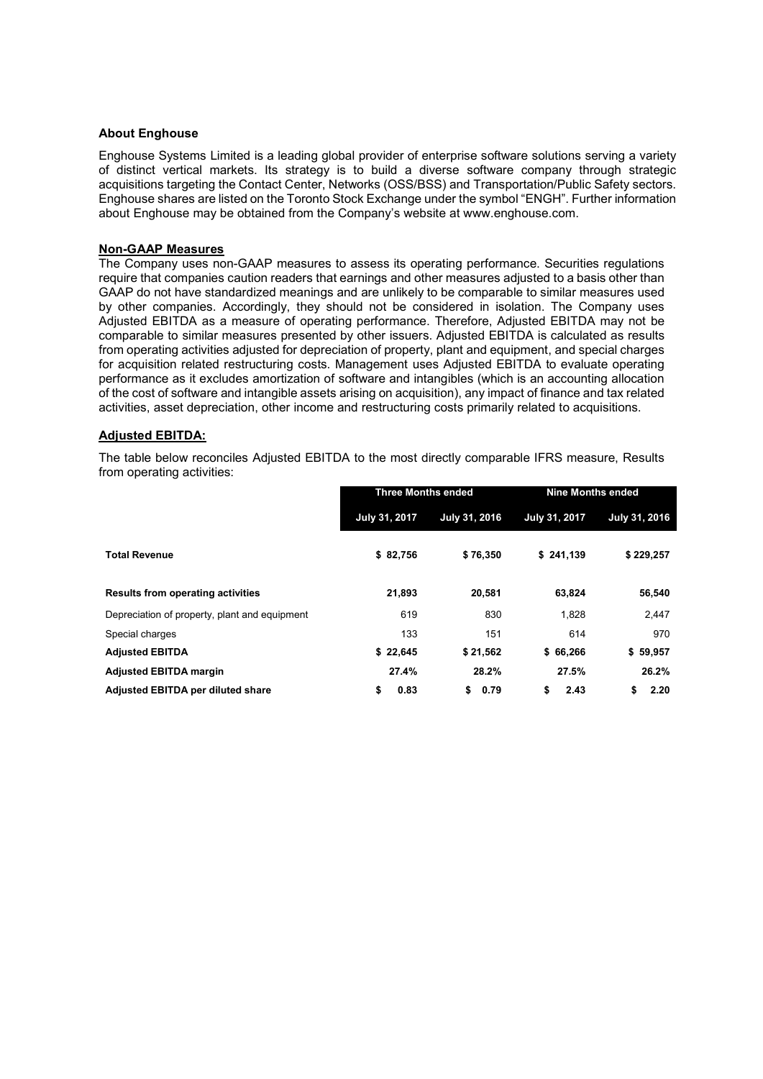#### About Enghouse

Enghouse Systems Limited is a leading global provider of enterprise software solutions serving a variety of distinct vertical markets. Its strategy is to build a diverse software company through strategic acquisitions targeting the Contact Center, Networks (OSS/BSS) and Transportation/Public Safety sectors. Enghouse shares are listed on the Toronto Stock Exchange under the symbol "ENGH". Further information about Enghouse may be obtained from the Company's website at www.enghouse.com.

#### Non-GAAP Measures

The Company uses non-GAAP measures to assess its operating performance. Securities regulations require that companies caution readers that earnings and other measures adjusted to a basis other than GAAP do not have standardized meanings and are unlikely to be comparable to similar measures used by other companies. Accordingly, they should not be considered in isolation. The Company uses Adjusted EBITDA as a measure of operating performance. Therefore, Adjusted EBITDA may not be comparable to similar measures presented by other issuers. Adjusted EBITDA is calculated as results from operating activities adjusted for depreciation of property, plant and equipment, and special charges for acquisition related restructuring costs. Management uses Adjusted EBITDA to evaluate operating performance as it excludes amortization of software and intangibles (which is an accounting allocation of the cost of software and intangible assets arising on acquisition), any impact of finance and tax related activities, asset depreciation, other income and restructuring costs primarily related to acquisitions.

#### Adjusted EBITDA:

The table below reconciles Adjusted EBITDA to the most directly comparable IFRS measure, Results from operating activities:

|                                               | <b>Three Months ended</b> |               | <b>Nine Months ended</b> |               |
|-----------------------------------------------|---------------------------|---------------|--------------------------|---------------|
|                                               | July 31, 2017             | July 31, 2016 | July 31, 2017            | July 31, 2016 |
| <b>Total Revenue</b>                          | \$82,756                  | \$76,350      | \$241,139                | \$229,257     |
| <b>Results from operating activities</b>      | 21,893                    | 20,581        | 63,824                   | 56,540        |
| Depreciation of property, plant and equipment | 619                       | 830           | 1.828                    | 2,447         |
| Special charges                               | 133                       | 151           | 614                      | 970           |
| <b>Adjusted EBITDA</b>                        | \$22,645                  | \$21,562      | \$66,266                 | \$59,957      |
| <b>Adjusted EBITDA margin</b>                 | 27.4%                     | 28.2%         | 27.5%                    | 26.2%         |
| <b>Adjusted EBITDA per diluted share</b>      | \$<br>0.83                | \$<br>0.79    | \$<br>2.43               | \$<br>2.20    |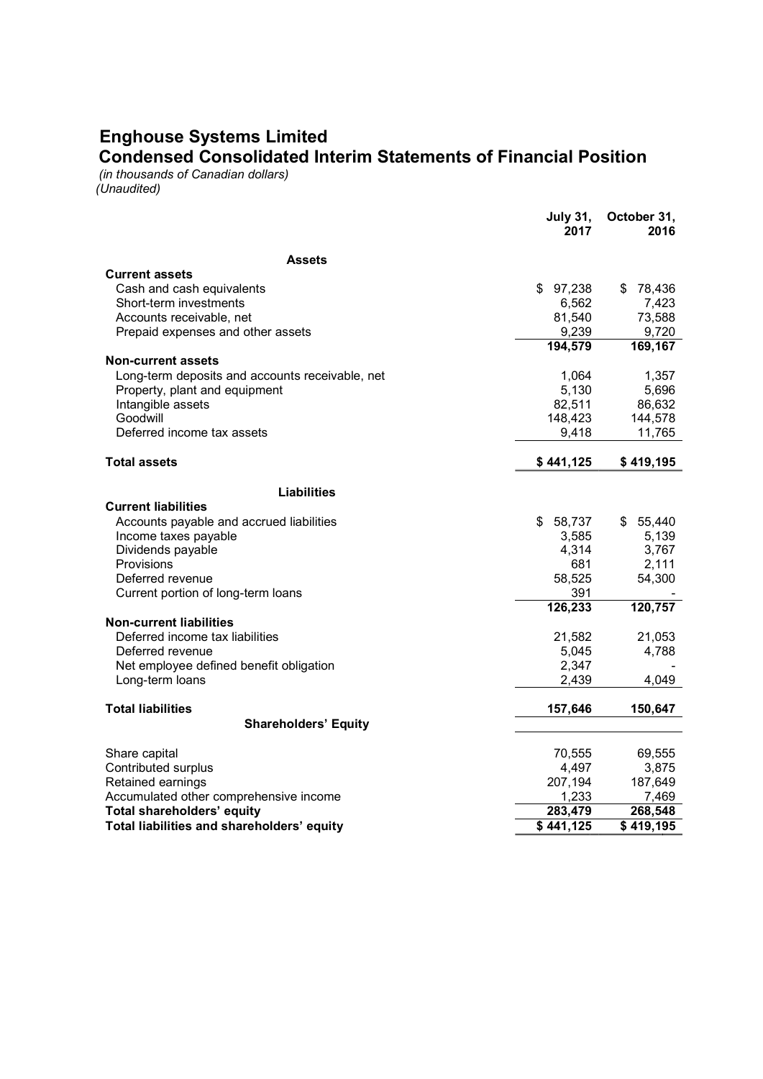## Enghouse Systems Limited

Condensed Consolidated Interim Statements of Financial Position

(in thousands of Canadian dollars) (Unaudited)

|                                                 | <b>July 31,</b><br>2017 | October 31,<br>2016 |
|-------------------------------------------------|-------------------------|---------------------|
| <b>Assets</b>                                   |                         |                     |
| <b>Current assets</b>                           |                         |                     |
| Cash and cash equivalents                       | \$97,238                | \$<br>78,436        |
| Short-term investments                          | 6,562                   | 7,423               |
| Accounts receivable, net                        | 81,540                  | 73,588              |
| Prepaid expenses and other assets               | 9,239                   | 9,720               |
|                                                 | 194,579                 | 169,167             |
| <b>Non-current assets</b>                       |                         |                     |
| Long-term deposits and accounts receivable, net | 1,064                   | 1,357               |
| Property, plant and equipment                   | 5,130                   | 5,696               |
| Intangible assets                               | 82,511                  | 86,632              |
| Goodwill                                        | 148,423                 | 144,578             |
| Deferred income tax assets                      | 9,418                   | 11,765              |
| <b>Total assets</b>                             | \$441,125               | \$419,195           |
| <b>Liabilities</b>                              |                         |                     |
| <b>Current liabilities</b>                      |                         |                     |
| Accounts payable and accrued liabilities        | \$<br>58,737            | \$55,440            |
| Income taxes payable                            | 3,585                   | 5,139               |
| Dividends payable                               | 4,314                   | 3,767               |
| Provisions                                      | 681                     | 2,111               |
| Deferred revenue                                | 58,525                  | 54,300              |
| Current portion of long-term loans              | 391                     |                     |
|                                                 | $\overline{126}$ , 233  | 120,757             |
| <b>Non-current liabilities</b>                  |                         |                     |
| Deferred income tax liabilities                 | 21,582                  | 21,053              |
| Deferred revenue                                | 5,045                   | 4,788               |
| Net employee defined benefit obligation         | 2,347                   |                     |
| Long-term loans                                 | 2,439                   | 4,049               |
| <b>Total liabilities</b>                        | 157,646                 | 150,647             |
| <b>Shareholders' Equity</b>                     |                         |                     |
|                                                 |                         |                     |
| Share capital<br>Contributed surplus            | 70,555<br>4,497         | 69,555<br>3,875     |
| Retained earnings                               | 207,194                 | 187,649             |
| Accumulated other comprehensive income          | 1,233                   | 7,469               |
| Total shareholders' equity                      | 283,479                 | 268,548             |
| Total liabilities and shareholders' equity      | \$441,125               | $\sqrt{$419,195}$   |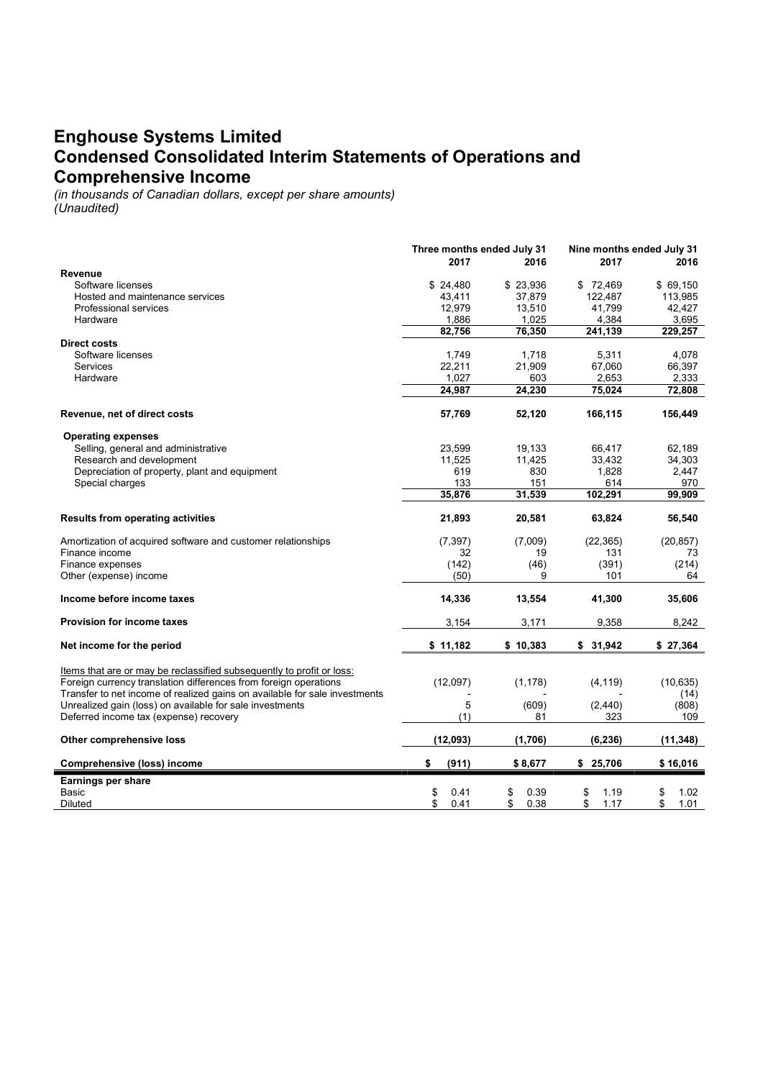### Enghouse Systems Limited Condensed Consolidated Interim Statements of Operations and Comprehensive Income

(in thousands of Canadian dollars, except per share amounts)

| (Unaudited) |  |
|-------------|--|
|-------------|--|

|                                                                                                                                                                                                                         | Three months ended July 31<br>2017 | 2016       | Nine months ended July 31<br>2017 | 2016              |
|-------------------------------------------------------------------------------------------------------------------------------------------------------------------------------------------------------------------------|------------------------------------|------------|-----------------------------------|-------------------|
| Revenue                                                                                                                                                                                                                 |                                    |            |                                   |                   |
| Software licenses                                                                                                                                                                                                       | \$24,480                           | \$23,936   | \$72,469                          | \$69,150          |
| Hosted and maintenance services                                                                                                                                                                                         | 43,411                             | 37,879     | 122,487                           | 113,985           |
| <b>Professional services</b>                                                                                                                                                                                            | 12,979                             | 13,510     | 41,799                            | 42,427            |
| Hardware                                                                                                                                                                                                                | 1,886                              | 1,025      | 4,384                             | 3,695             |
| <b>Direct costs</b>                                                                                                                                                                                                     | 82,756                             | 76,350     | 241.139                           | 229,257           |
| Software licenses                                                                                                                                                                                                       | 1,749                              | 1,718      | 5,311                             | 4,078             |
| Services                                                                                                                                                                                                                | 22,211                             | 21,909     | 67,060                            | 66,397            |
| Hardware                                                                                                                                                                                                                | 1,027                              | 603        | 2,653                             | 2,333             |
|                                                                                                                                                                                                                         | 24,987                             | 24,230     | 75,024                            | 72,808            |
|                                                                                                                                                                                                                         |                                    |            |                                   |                   |
| Revenue, net of direct costs                                                                                                                                                                                            | 57,769                             | 52,120     | 166,115                           | 156,449           |
| <b>Operating expenses</b>                                                                                                                                                                                               |                                    |            |                                   |                   |
| Selling, general and administrative                                                                                                                                                                                     | 23,599                             | 19,133     | 66,417                            | 62,189            |
| Research and development                                                                                                                                                                                                | 11,525                             | 11,425     | 33,432                            | 34,303            |
| Depreciation of property, plant and equipment                                                                                                                                                                           | 619                                | 830        | 1,828                             | 2,447             |
| Special charges                                                                                                                                                                                                         | 133                                | 151        | 614                               | 970               |
|                                                                                                                                                                                                                         | 35,876                             | 31,539     | 102,291                           | 99,909            |
| <b>Results from operating activities</b>                                                                                                                                                                                | 21,893                             | 20,581     | 63,824                            | 56,540            |
| Amortization of acquired software and customer relationships                                                                                                                                                            | (7, 397)                           | (7,009)    | (22, 365)                         | (20, 857)         |
| Finance income                                                                                                                                                                                                          | 32                                 | 19         | 131                               | 73                |
| Finance expenses                                                                                                                                                                                                        | (142)                              | (46)       | (391)                             | (214)             |
| Other (expense) income                                                                                                                                                                                                  | (50)                               | 9          | 101                               | 64                |
| Income before income taxes                                                                                                                                                                                              | 14,336                             | 13,554     | 41,300                            | 35,606            |
| <b>Provision for income taxes</b>                                                                                                                                                                                       | 3,154                              | 3,171      | 9,358                             | 8,242             |
| Net income for the period                                                                                                                                                                                               | \$11,182                           | \$10,383   | \$31,942                          | \$27,364          |
| Items that are or may be reclassified subsequently to profit or loss:<br>Foreign currency translation differences from foreign operations<br>Transfer to net income of realized gains on available for sale investments | (12,097)                           | (1, 178)   | (4, 119)                          | (10, 635)<br>(14) |
| Unrealized gain (loss) on available for sale investments                                                                                                                                                                | 5                                  | (609)      | (2, 440)                          | (808)             |
| Deferred income tax (expense) recovery                                                                                                                                                                                  | (1)                                | 81         | 323                               | 109               |
| Other comprehensive loss                                                                                                                                                                                                | (12,093)                           | (1,706)    | (6, 236)                          | (11, 348)         |
| <b>Comprehensive (loss) income</b>                                                                                                                                                                                      | (911)<br>\$                        | \$8,677    | \$25,706                          | \$16,016          |
| Earnings per share                                                                                                                                                                                                      |                                    |            |                                   |                   |
| <b>Basic</b>                                                                                                                                                                                                            | \$<br>0.41                         | \$<br>0.39 | \$<br>1.19                        | 1.02<br>\$        |
| Diluted                                                                                                                                                                                                                 | \$<br>0.41                         | \$<br>0.38 | \$<br>1.17                        | \$<br>1.01        |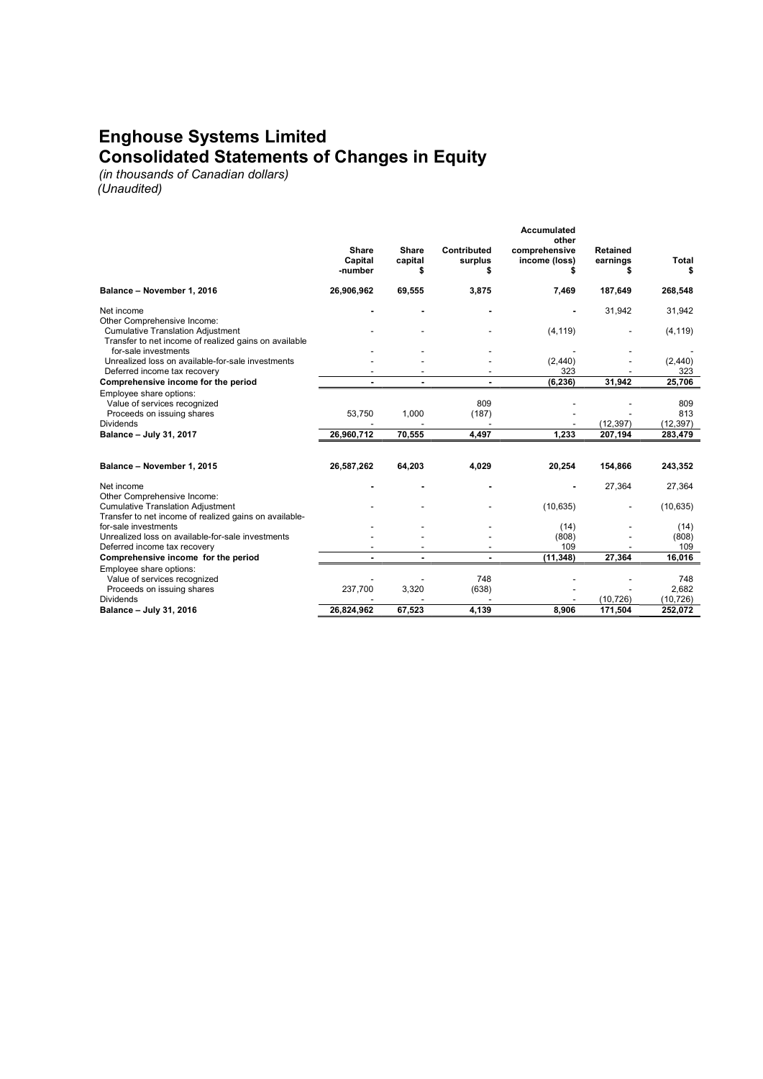## Enghouse Systems Limited Consolidated Statements of Changes in Equity

(in thousands of Canadian dollars)

(Unaudited)

|                                                                                                    |                                    |                        |                        | <b>Accumulated</b><br>other    |                             |             |
|----------------------------------------------------------------------------------------------------|------------------------------------|------------------------|------------------------|--------------------------------|-----------------------------|-------------|
|                                                                                                    | <b>Share</b><br>Capital<br>-number | Share<br>capital<br>\$ | Contributed<br>surplus | comprehensive<br>income (loss) | <b>Retained</b><br>earnings | Total<br>\$ |
| Balance - November 1, 2016                                                                         | 26,906,962                         | 69,555                 | 3,875                  | 7,469                          | 187,649                     | 268,548     |
| Net income<br>Other Comprehensive Income:                                                          |                                    |                        |                        |                                | 31,942                      | 31,942      |
| <b>Cumulative Translation Adjustment</b><br>Transfer to net income of realized gains on available  |                                    |                        |                        | (4, 119)                       |                             | (4, 119)    |
| for-sale investments                                                                               |                                    |                        |                        |                                |                             |             |
| Unrealized loss on available-for-sale investments                                                  |                                    |                        |                        | (2,440)                        |                             | (2, 440)    |
| Deferred income tax recovery                                                                       |                                    |                        |                        | 323                            |                             | 323         |
| Comprehensive income for the period                                                                |                                    |                        |                        | (6, 236)                       | 31,942                      | 25,706      |
| Employee share options:<br>Value of services recognized                                            |                                    |                        | 809                    |                                |                             | 809         |
| Proceeds on issuing shares                                                                         | 53,750                             | 1,000                  | (187)                  |                                |                             | 813         |
| <b>Dividends</b>                                                                                   |                                    |                        |                        |                                | (12, 397)                   | (12, 397)   |
| Balance - July 31, 2017                                                                            | 26,960,712                         | 70,555                 | 4,497                  | 1,233                          | 207,194                     | 283,479     |
|                                                                                                    |                                    |                        |                        |                                |                             |             |
| Balance - November 1, 2015                                                                         | 26,587,262                         | 64,203                 | 4,029                  | 20,254                         | 154,866                     | 243,352     |
| Net income<br>Other Comprehensive Income:                                                          |                                    |                        |                        |                                | 27,364                      | 27,364      |
| <b>Cumulative Translation Adjustment</b><br>Transfer to net income of realized gains on available- |                                    |                        |                        | (10, 635)                      |                             | (10, 635)   |
| for-sale investments                                                                               |                                    |                        |                        | (14)                           |                             | (14)        |
| Unrealized loss on available-for-sale investments                                                  |                                    |                        |                        | (808)                          |                             | (808)       |
| Deferred income tax recovery                                                                       |                                    |                        |                        | 109                            |                             | 109         |
| Comprehensive income for the period                                                                |                                    | ٠                      |                        | (11.348)                       | 27.364                      | 16.016      |
| Employee share options:                                                                            |                                    |                        |                        |                                |                             |             |
| Value of services recognized                                                                       |                                    |                        | 748                    |                                |                             | 748         |
| Proceeds on issuing shares                                                                         | 237,700                            | 3,320                  | (638)                  |                                |                             | 2,682       |
| <b>Dividends</b>                                                                                   |                                    |                        |                        |                                | (10, 726)                   | (10, 726)   |
| Balance - July 31, 2016                                                                            | 26,824,962                         | 67,523                 | 4,139                  | 8,906                          | 171,504                     | 252,072     |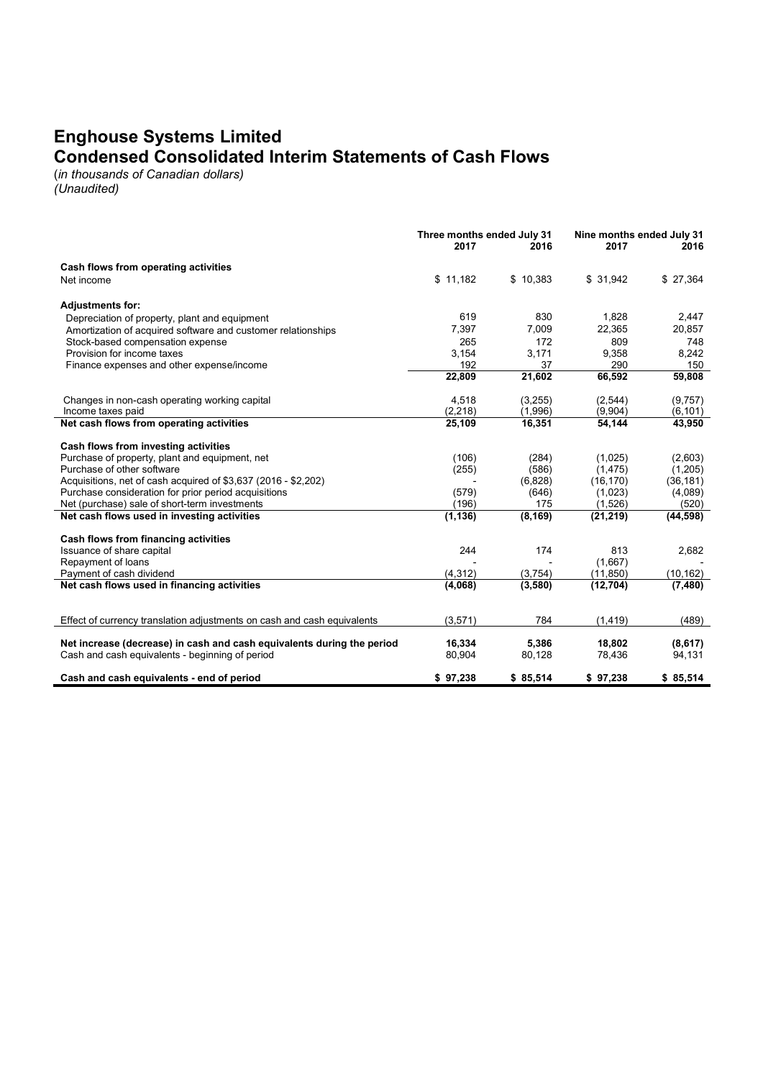## Enghouse Systems Limited Condensed Consolidated Interim Statements of Cash Flows

(in thousands of Canadian dollars)

(Unaudited)

|                                                                         | Three months ended July 31<br>2017<br>2016 |          | Nine months ended July 31<br>2017<br>2016 |           |
|-------------------------------------------------------------------------|--------------------------------------------|----------|-------------------------------------------|-----------|
| Cash flows from operating activities                                    |                                            |          |                                           |           |
| Net income                                                              | \$11,182                                   | \$10,383 | \$31,942                                  | \$27,364  |
| <b>Adjustments for:</b>                                                 |                                            |          |                                           |           |
| Depreciation of property, plant and equipment                           | 619                                        | 830      | 1,828                                     | 2,447     |
| Amortization of acquired software and customer relationships            | 7,397                                      | 7,009    | 22,365                                    | 20,857    |
| Stock-based compensation expense                                        | 265                                        | 172      | 809                                       | 748       |
| Provision for income taxes                                              | 3,154                                      | 3.171    | 9,358                                     | 8,242     |
| Finance expenses and other expense/income                               | 192                                        | 37       | 290                                       | 150       |
|                                                                         | 22,809                                     | 21,602   | 66,592                                    | 59,808    |
| Changes in non-cash operating working capital                           | 4,518                                      | (3,255)  | (2, 544)                                  | (9,757)   |
| Income taxes paid                                                       | (2, 218)                                   | (1,996)  | (9,904)                                   | (6, 101)  |
| Net cash flows from operating activities                                | 25,109                                     | 16,351   | 54,144                                    | 43,950    |
| Cash flows from investing activities                                    |                                            |          |                                           |           |
| Purchase of property, plant and equipment, net                          | (106)                                      | (284)    | (1,025)                                   | (2,603)   |
| Purchase of other software                                              | (255)                                      | (586)    | (1, 475)                                  | (1,205)   |
| Acquisitions, net of cash acquired of \$3,637 (2016 - \$2,202)          |                                            | (6,828)  | (16, 170)                                 | (36, 181) |
| Purchase consideration for prior period acquisitions                    | (579)                                      | (646)    | (1,023)                                   | (4,089)   |
| Net (purchase) sale of short-term investments                           | (196)                                      | 175      | (1,526)                                   | (520)     |
| Net cash flows used in investing activities                             | (1, 136)                                   | (8, 169) | (21, 219)                                 | (44, 598) |
| Cash flows from financing activities                                    |                                            |          |                                           |           |
| Issuance of share capital                                               | 244                                        | 174      | 813                                       | 2,682     |
| Repayment of loans                                                      |                                            |          | (1,667)                                   |           |
| Payment of cash dividend                                                | (4, 312)                                   | (3,754)  | (11, 850)                                 | (10, 162) |
| Net cash flows used in financing activities                             | (4,068)                                    | (3,580)  | (12, 704)                                 | (7, 480)  |
|                                                                         |                                            |          |                                           |           |
| Effect of currency translation adjustments on cash and cash equivalents | (3,571)                                    | 784      | (1, 419)                                  | (489)     |
| Net increase (decrease) in cash and cash equivalents during the period  | 16,334                                     | 5,386    | 18,802                                    | (8,617)   |
| Cash and cash equivalents - beginning of period                         | 80,904                                     | 80,128   | 78,436                                    | 94,131    |
| Cash and cash equivalents - end of period                               | \$97,238                                   | \$85,514 | \$97,238                                  | \$85,514  |